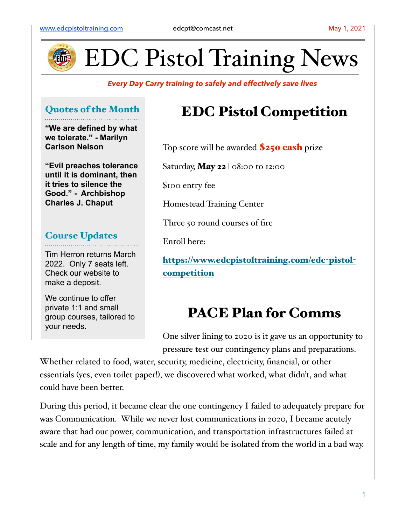

EDC Pistol Training News

*Every Day Carry training to safely and effectively save lives*

### Quotes of the Month

**"We are defined by what we tolerate." - Marilyn Carlson Nelson**

**"Evil preaches tolerance until it is dominant, then it tries to silence the Good." - Archbishop Charles J. Chaput**

#### Course Updates

Tim Herron returns March 2022. Only 7 seats left. Check our website to make a deposit.

We continue to offer private 1:1 and small group courses, tailored to your needs.

## EDC Pistol Competition

Top score will be awarded **\$250 cash** prize

Saturday, **May 22**  $\vert \circ 8$ :00 to 12:00

\$100 entry fee

Homestead Training Center

Three 50 round courses of fire

Enroll here:

[https://www.edcpistoltraining.com/edc](https://www.edcpistoltraining.com/edc-pistol-competition)-pistol[competition](https://www.edcpistoltraining.com/edc-pistol-competition)

## PACE Plan for Comms

One silver lining to 2020 is it gave us an opportunity to pressure test our contingency plans and preparations.

Whether related to food, water, security, medicine, electricity, financial, or other essentials (yes, even toilet paper!), we discovered what worked, what didn't, and what could have been better.

During this period, it became clear the one contingency I failed to adequately prepare for was Communication. While we never lost communications in 2020, I became acutely aware that had our power, communication, and transportation infrastructures failed at scale and for any length of time, my family would be isolated from the world in a bad way.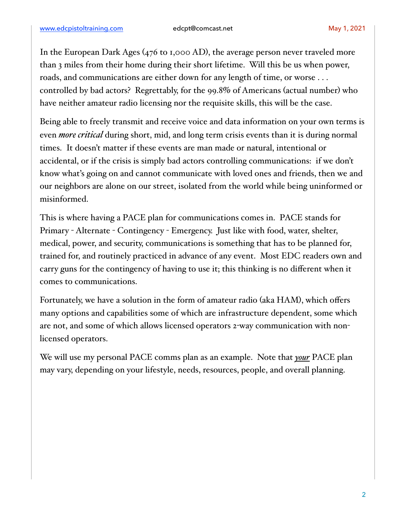In the European Dark Ages (476 to 1,000 AD), the average person never traveled more than 3 miles from their home during their short lifetime. Will this be us when power, roads, and communications are either down for any length of time, or worse . . . controlled by bad actors? Regrettably, for the 99.8% of Americans (actual number) who have neither amateur radio licensing nor the requisite skills, this will be the case.

Being able to freely transmit and receive voice and data information on your own terms is even *more critical* during short, mid, and long term crisis events than it is during normal times. It doesn't matter if these events are man made or natural, intentional or accidental, or if the crisis is simply bad actors controlling communications: if we don't know what's going on and cannot communicate with loved ones and friends, then we and our neighbors are alone on our street, isolated from the world while being uninformed or misinformed.

This is where having a PACE plan for communications comes in. PACE stands for Primary - Alternate - Contingency - Emergency. Just like with food, water, shelter, medical, power, and security, communications is something that has to be planned for, trained for, and routinely practiced in advance of any event. Most EDC readers own and carry guns for the contingency of having to use it; this thinking is no different when it comes to communications.

Fortunately, we have a solution in the form of amateur radio (aka HAM), which offers many options and capabilities some of which are infrastructure dependent, some which are not, and some of which allows licensed operators 2-way communication with nonlicensed operators.

We will use my personal PACE comms plan as an example. Note that *your* PACE plan may vary, depending on your lifestyle, needs, resources, people, and overall planning.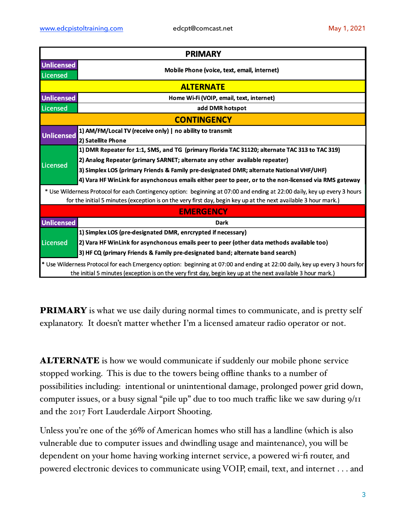| <b>PRIMARY</b>                                                                                                                                                                                                                               |                                                                                                       |
|----------------------------------------------------------------------------------------------------------------------------------------------------------------------------------------------------------------------------------------------|-------------------------------------------------------------------------------------------------------|
| Unlicensed<br>Licensed                                                                                                                                                                                                                       | Mobile Phone (voice, text, email, internet)                                                           |
| <b>ALTERNATE</b>                                                                                                                                                                                                                             |                                                                                                       |
| <b>Unlicensed</b>                                                                                                                                                                                                                            | Home Wi-Fi (VOIP, email, text, internet)                                                              |
| Licensed                                                                                                                                                                                                                                     | add DMR hotspot                                                                                       |
| <b>CONTINGENCY</b>                                                                                                                                                                                                                           |                                                                                                       |
| <b>Unlicensed</b>                                                                                                                                                                                                                            | 1) AM/FM/Local TV (receive only)   no ability to transmit                                             |
|                                                                                                                                                                                                                                              | 2) Satellite Phone                                                                                    |
| Licensed                                                                                                                                                                                                                                     | 1) DMR Repeater for 1:1, SMS, and TG (primary Florida TAC 31120; alternate TAC 313 to TAC 319)        |
|                                                                                                                                                                                                                                              | 2) Analog Repeater (primary SARNET; alternate any other available repeater)                           |
|                                                                                                                                                                                                                                              | 3) Simplex LOS (primary Friends & Family pre-designated DMR; alternate National VHF/UHF)              |
|                                                                                                                                                                                                                                              | 4) Vara HF WinLink for asynchonous emails either peer to peer, or to the non-licensed via RMS gateway |
| * Use Wilderness Protocol for each Contingency option: beginning at 07:00 and ending at 22:00 daily, key up every 3 hours<br>for the initial 5 minutes (exception is on the very first day, begin key up at the next available 3 hour mark.) |                                                                                                       |
| <b>EMERGENCY</b>                                                                                                                                                                                                                             |                                                                                                       |
| <b>Unlicensed</b>                                                                                                                                                                                                                            | <b>Dark</b>                                                                                           |
| Licensed                                                                                                                                                                                                                                     | 1) Simplex LOS (pre-designated DMR, enrcrypted if necessary)                                          |
|                                                                                                                                                                                                                                              | (2) Vara HF WinLink for asynchonous emails peer to peer (other data methods available too)            |
|                                                                                                                                                                                                                                              | 3) HF CQ (primary Friends & Family pre-designated band; alternate band search)                        |
| * Use Wilderness Protocol for each Emergency option: beginning at 07:00 and ending at 22:00 daily, key up every 3 hours for<br>the initial 5 minutes (exception is on the very first day, begin key up at the next available 3 hour mark.)   |                                                                                                       |

**PRIMARY** is what we use daily during normal times to communicate, and is pretty self explanatory. It doesn't matter whether I'm a licensed amateur radio operator or not.

**ALTERNATE** is how we would communicate if suddenly our mobile phone service stopped working. This is due to the towers being offline thanks to a number of possibilities including: intentional or unintentional damage, prolonged power grid down, computer issues, or a busy signal "pile up" due to too much traffic like we saw during 9/11 and the 2017 Fort Lauderdale Airport Shooting.

Unless you're one of the 36% of American homes who still has a landline (which is also vulnerable due to computer issues and dwindling usage and maintenance), you will be dependent on your home having working internet service, a powered wi-fi router, and powered electronic devices to communicate using VOIP, email, text, and internet . . . and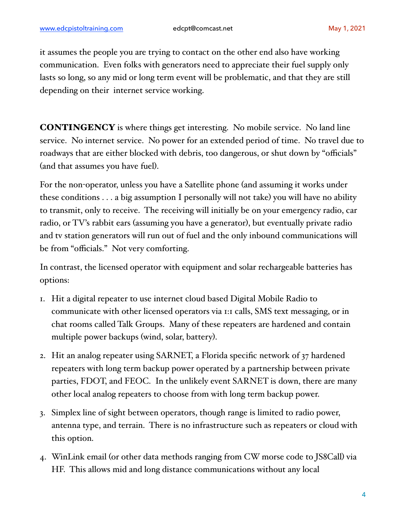it assumes the people you are trying to contact on the other end also have working communication. Even folks with generators need to appreciate their fuel supply only lasts so long, so any mid or long term event will be problematic, and that they are still depending on their internet service working.

CONTINGENCY is where things get interesting. No mobile service. No land line service. No internet service. No power for an extended period of time. No travel due to roadways that are either blocked with debris, too dangerous, or shut down by "officials" (and that assumes you have fuel).

For the non-operator, unless you have a Satellite phone (and assuming it works under these conditions . . . a big assumption I personally will not take) you will have no ability to transmit, only to receive. The receiving will initially be on your emergency radio, car radio, or TV's rabbit ears (assuming you have a generator), but eventually private radio and tv station generators will run out of fuel and the only inbound communications will be from "officials." Not very comforting.

In contrast, the licensed operator with equipment and solar rechargeable batteries has options:

- 1. Hit a digital repeater to use internet cloud based Digital Mobile Radio to communicate with other licensed operators via 1:1 calls, SMS text messaging, or in chat rooms called Talk Groups. Many of these repeaters are hardened and contain multiple power backups (wind, solar, battery).
- 2. Hit an analog repeater using SARNET, a Florida specific network of 37 hardened repeaters with long term backup power operated by a partnership between private parties, FDOT, and FEOC. In the unlikely event SARNET is down, there are many other local analog repeaters to choose from with long term backup power.
- 3. Simplex line of sight between operators, though range is limited to radio power, antenna type, and terrain. There is no infrastructure such as repeaters or cloud with this option.
- 4. WinLink email (or other data methods ranging from CW morse code to JS8Call) via HF. This allows mid and long distance communications without any local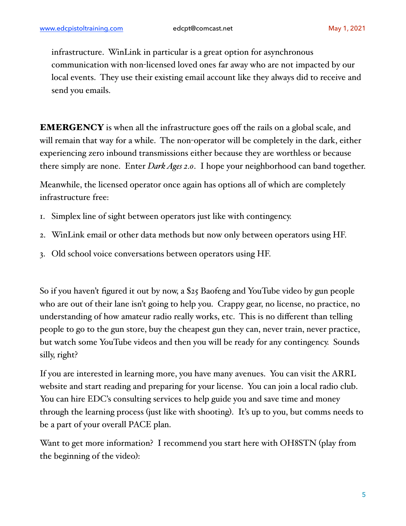infrastructure. WinLink in particular is a great option for asynchronous communication with non-licensed loved ones far away who are not impacted by our local events. They use their existing email account like they always did to receive and send you emails.

EMERGENCY is when all the infrastructure goes off the rails on a global scale, and will remain that way for a while. The non-operator will be completely in the dark, either experiencing zero inbound transmissions either because they are worthless or because there simply are none. Enter *Dark Ages 2.0*. I hope your neighborhood can band together.

Meanwhile, the licensed operator once again has options all of which are completely infrastructure free:

- 1. Simplex line of sight between operators just like with contingency.
- 2. WinLink email or other data methods but now only between operators using HF.
- 3. Old school voice conversations between operators using HF.

So if you haven't figured it out by now, a \$25 Baofeng and YouTube video by gun people who are out of their lane isn't going to help you. Crappy gear, no license, no practice, no understanding of how amateur radio really works, etc. This is no different than telling people to go to the gun store, buy the cheapest gun they can, never train, never practice, but watch some YouTube videos and then you will be ready for any contingency. Sounds silly, right?

If you are interested in learning more, you have many avenues. You can visit the ARRL website and start reading and preparing for your license. You can join a local radio club. You can hire EDC's consulting services to help guide you and save time and money through the learning process (just like with shooting). It's up to you, but comms needs to be a part of your overall PACE plan.

Want to get more information? I recommend you start here with OH8STN (play from the beginning of the video):